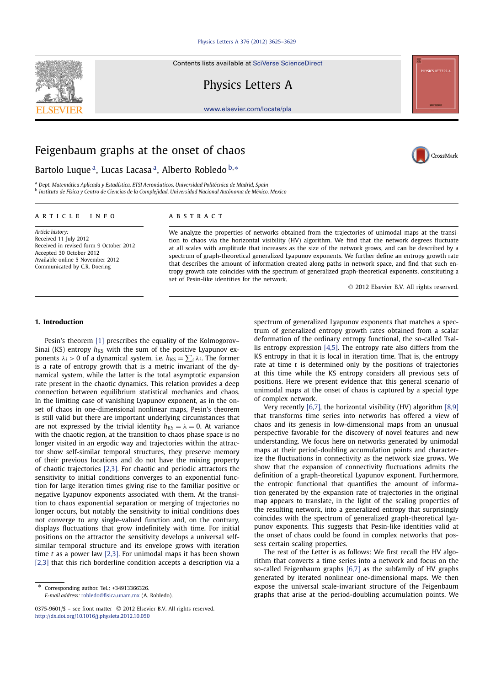## Physics Letters A 376 (2012) 3625–3629

Contents lists available at SciVerse ScienceDirect

Physics Letters A

www.elsevier.com/locate/pla

# Feigenbaum graphs at the onset of chaos

Bartolo Luque<sup>a</sup>, Lucas Lacasa<sup>a</sup>, Alberto Robledo <sup>b,∗</sup>

<sup>a</sup> *Dept. Matemática Aplicada y Estadística, ETSI Aeronáuticos, Universidad Politécnica de Madrid, Spain* <sup>b</sup> *Instituto de Física y Centro de Ciencias de la Complejidad, Universidad Nacional Autónoma de México, Mexico*

#### article info abstract

*Article history:* Received 11 July 2012 Received in revised form 9 October 2012 Accepted 30 October 2012 Available online 5 November 2012 Communicated by C.R. Doering

We analyze the properties of networks obtained from the trajectories of unimodal maps at the transition to chaos via the horizontal visibility (HV) algorithm. We find that the network degrees fluctuate at all scales with amplitude that increases as the size of the network grows, and can be described by a spectrum of graph-theoretical generalized Lyapunov exponents. We further define an entropy growth rate that describes the amount of information created along paths in network space, and find that such entropy growth rate coincides with the spectrum of generalized graph-theoretical exponents, constituting a set of Pesin-like identities for the network.

2012 Elsevier B.V. All rights reserved.

### **1. Introduction**

Pesin's theorem [1] prescribes the equality of the Kolmogorov– Sinai (KS) entropy  $h_{KS}$  with the sum of the positive Lyapunov exponents  $\lambda_i > 0$  of a dynamical system, i.e.  $h_{KS} = \sum_i \lambda_i$ . The former is a rate of entropy growth that is a metric invariant of the dynamical system, while the latter is the total asymptotic expansion rate present in the chaotic dynamics. This relation provides a deep connection between equilibrium statistical mechanics and chaos. In the limiting case of vanishing Lyapunov exponent, as in the onset of chaos in one-dimensional nonlinear maps, Pesin's theorem is still valid but there are important underlying circumstances that are not expressed by the trivial identity  $h_{KS} = \lambda = 0$ . At variance with the chaotic region, at the transition to chaos phase space is no longer visited in an ergodic way and trajectories within the attractor show self-similar temporal structures, they preserve memory of their previous locations and do not have the mixing property of chaotic trajectories [2,3]. For chaotic and periodic attractors the sensitivity to initial conditions converges to an exponential function for large iteration times giving rise to the familiar positive or negative Lyapunov exponents associated with them. At the transition to chaos exponential separation or merging of trajectories no longer occurs, but notably the sensitivity to initial conditions does not converge to any single-valued function and, on the contrary, displays fluctuations that grow indefinitely with time. For initial positions on the attractor the sensitivity develops a universal selfsimilar temporal structure and its envelope grows with iteration time *t* as a power law [2,3]. For unimodal maps it has been shown [2,3] that this rich borderline condition accepts a description via a

Corresponding author. Tel.: +34913366326. *E-mail address:* robledo@fisica.unam.mx (A. Robledo). spectrum of generalized Lyapunov exponents that matches a spectrum of generalized entropy growth rates obtained from a scalar deformation of the ordinary entropy functional, the so-called Tsallis entropy expression [4,5]. The entropy rate also differs from the KS entropy in that it is local in iteration time. That is, the entropy rate at time *t* is determined only by the positions of trajectories at this time while the KS entropy considers all previous sets of positions. Here we present evidence that this general scenario of unimodal maps at the onset of chaos is captured by a special type of complex network.

Very recently [6,7], the horizontal visibility (HV) algorithm [8,9] that transforms time series into networks has offered a view of chaos and its genesis in low-dimensional maps from an unusual perspective favorable for the discovery of novel features and new understanding. We focus here on networks generated by unimodal maps at their period-doubling accumulation points and characterize the fluctuations in connectivity as the network size grows. We show that the expansion of connectivity fluctuations admits the definition of a graph-theoretical Lyapunov exponent. Furthermore, the entropic functional that quantifies the amount of information generated by the expansion rate of trajectories in the original map appears to translate, in the light of the scaling properties of the resulting network, into a generalized entropy that surprisingly coincides with the spectrum of generalized graph-theoretical Lyapunov exponents. This suggests that Pesin-like identities valid at the onset of chaos could be found in complex networks that possess certain scaling properties.

The rest of the Letter is as follows: We first recall the HV algorithm that converts a time series into a network and focus on the so-called Feigenbaum graphs [6,7] as the subfamily of HV graphs generated by iterated nonlinear one-dimensional maps. We then expose the universal scale-invariant structure of the Feigenbaum graphs that arise at the period-doubling accumulation points. We







<sup>0375-9601/\$ -</sup> see front matter © 2012 Elsevier B.V. All rights reserved. http://dx.doi.org/10.1016/j.physleta.2012.10.050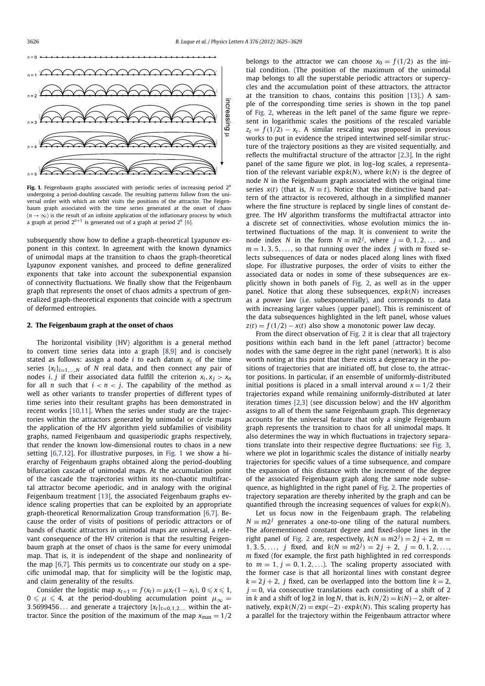

**Fig. 1.** Feigenbaum graphs associated with periodic series of increasing period 2*<sup>n</sup>* undergoing a period-doubling cascade. The resulting patterns follow from the universal order with which an orbit visits the positions of the attractor. The Feigenbaum graph associated with the time series generated at the onset of chaos  $(n \rightarrow \infty)$  is the result of an infinite application of the inflationary process by which a graph at period  $2^{n+1}$  is generated out of a graph at period  $2^n$  [6].

subsequently show how to define a graph-theoretical Lyapunov exponent in this context. In agreement with the known dynamics of unimodal maps at the transition to chaos the graph-theoretical Lyapunov exponent vanishes, and proceed to define generalized exponents that take into account the subexponential expansion of connectivity fluctuations. We finally show that the Feigenbaum graph that represents the onset of chaos admits a spectrum of generalized graph-theoretical exponents that coincide with a spectrum of deformed entropies.

### **2. The Feigenbaum graph at the onset of chaos**

The horizontal visibility (HV) algorithm is a general method to convert time series data into a graph [8,9] and is concisely stated as follows: assign a node  $i$  to each datum  $x_i$  of the time series  $\{x_i\}_{i=1,...,N}$  of *N* real data, and then connect any pair of nodes *i*, *j* if their associated data fulfill the criterion  $x_i$ ,  $x_j > x_n$ for all *n* such that  $i < n < j$ . The capability of the method as well as other variants to transfer properties of different types of time series into their resultant graphs has been demonstrated in recent works [10,11]. When the series under study are the trajectories within the attractors generated by unimodal or circle maps the application of the HV algorithm yield subfamilies of visibility graphs, named Feigenbaum and quasiperiodic graphs respectively, that render the known low-dimensional routes to chaos in a new setting [6,7,12]. For illustrative purposes, in Fig. 1 we show a hierarchy of Feigenbaum graphs obtained along the period-doubling bifurcation cascade of unimodal maps. At the accumulation point of the cascade the trajectories within its non-chaotic multifractal attractor become aperiodic, and in analogy with the original Feigenbaum treatment [13], the associated Feigenbaum graphs evidence scaling properties that can be exploited by an appropriate graph-theoretical Renormalization Group transformation [6,7]. Because the order of visits of positions of periodic attractors or of bands of chaotic attractors in unimodal maps are universal, a relevant consequence of the HV criterion is that the resulting Feigenbaum graph at the onset of chaos is the same for every unimodal map. That is, it is independent of the shape and nonlinearity of the map [6,7]. This permits us to concentrate our study on a specific unimodal map, that for simplicity will be the logistic map, and claim generality of the results.

Consider the logistic map  $x_{t+1} = f(x_t) = \mu x_t (1 - x_t)$ ,  $0 \le x \le 1$ ,  $0 \le \mu \le 4$ , at the period-doubling accumulation point  $\mu_{\infty} =$ 3.5699456... and generate a trajectory  $\{x_t\}_{t=0,1,2,...}$  within the attractor. Since the position of the maximum of the map  $x_{\text{max}} = 1/2$  belongs to the attractor we can choose  $x_0 = f(1/2)$  as the initial condition. (The position of the maximum of the unimodal map belongs to all the superstable periodic attractors or supercycles and the accumulation point of these attractors, the attractor at the transition to chaos, contains this position [13].) A sample of the corresponding time series is shown in the top panel of Fig. 2, whereas in the left panel of the same figure we represent in logarithmic scales the positions of the rescaled variable  $z_t = f(1/2) - x_t$ . A similar rescaling was proposed in previous works to put in evidence the striped intertwined self-similar structure of the trajectory positions as they are visited sequentially, and reflects the multifractal structure of the attractor [2,3]. In the right panel of the same figure we plot, in log–log scales, a representation of the relevant variable  $exp(k(N))$ , where  $k(N)$  is the degree of node *N* in the Feigenbaum graph associated with the original time series  $x(t)$  (that is,  $N \equiv t$ ). Notice that the distinctive band pattern of the attractor is recovered, although in a simplified manner where the fine structure is replaced by single lines of constant degree. The HV algorithm transforms the multifractal attractor into a discrete set of connectivities, whose evolution mimics the intertwined fluctuations of the map. It is convenient to write the node index *N* in the form  $N \equiv m2^j$ , where  $j = 0, 1, 2, \dots$  and  $m = 1, 3, 5, \ldots$ , so that running over the index *j* with *m* fixed selects subsequences of data or nodes placed along lines with fixed slope. For illustrative purposes, the order of visits to either the associated data or nodes in some of these subsequences are explicitly shown in both panels of Fig. 2, as well as in the upper panel. Notice that along these subsequences, exp*k*(*N*) increases as a power law (i.e. subexponentially), and corresponds to data with increasing larger values (upper panel). This is reminiscent of the data subsequences highlighted in the left panel, whose values  $z(t) = f(1/2) - x(t)$  also show a monotonic power law decay.

From the direct observation of Fig. 2 it is clear that all trajectory positions within each band in the left panel (attractor) become nodes with the same degree in the right panel (network). It is also worth noting at this point that there exists a degeneracy in the positions of trajectories that are initiated off, but close to, the attractor positions. In particular, if an ensemble of uniformly-distributed initial positions is placed in a small interval around  $x = 1/2$  their trajectories expand while remaining uniformly-distributed at later iteration times [2,3] (see discussion below) and the HV algorithm assigns to all of them the same Feigenbaum graph. This degeneracy accounts for the universal feature that only a single Feigenbaum graph represents the transition to chaos for all unimodal maps. It also determines the way in which fluctuations in trajectory separations translate into their respective degree fluctuations: see Fig. 3, where we plot in logarithmic scales the distance of initially nearby trajectories for specific values of a time subsequence, and compare the expansion of this distance with the increment of the degree of the associated Feigenbaum graph along the same node subsequence, as highlighted in the right panel of Fig. 2. The properties of trajectory separation are thereby inherited by the graph and can be quantified through the increasing sequences of values for exp*k*(*N*).

Let us focus now in the Feigenbaum graph. The relabeling  $N \equiv m2^j$  generates a one-to-one tiling of the natural numbers. The aforementioned constant degree and fixed-slope lines in the right panel of Fig. 2 are, respectively,  $k(N \equiv m2^j) = 2j + 2$ ,  $m =$ 1, 3, 5,..., *j* fixed, and  $k(N \equiv m2^j) = 2j + 2$ ,  $j = 0, 1, 2, \ldots$ *m* fixed (for example, the first path highlighted in red corresponds to  $m = 1$ ,  $j = 0, 1, 2, \ldots$ ). The scaling property associated with the former case is that all horizontal lines with constant degree  $k = 2j + 2$ , *j* fixed, can be overlapped into the bottom line  $k = 2$ ,  $j = 0$ , via consecutive translations each consisting of a shift of 2 in *k* and a shift of log 2 in log *N*, that is,  $k(N/2) = k(N) - 2$ , or alternatively,  $\exp k(N/2) = \exp(-2) \cdot \exp k(N)$ . This scaling property has a parallel for the trajectory within the Feigenbaum attractor where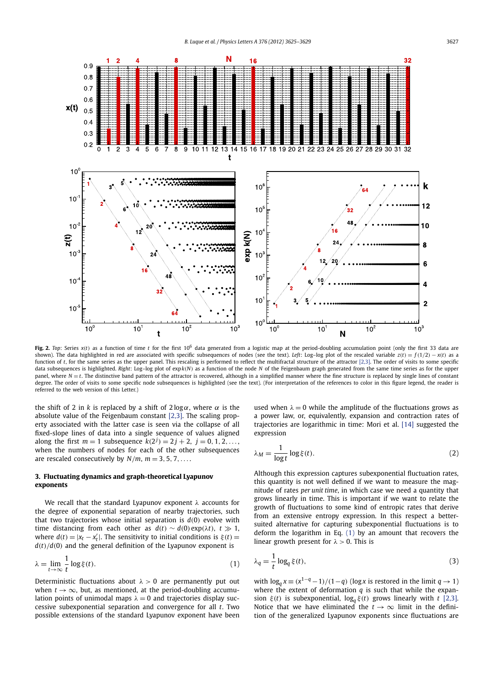

**Fig. 2.** *Top*: Series  $x(t)$  as a function of time *t* for the first 10<sup>6</sup> data generated from a logistic map at the period-doubling accumulation point (only the first 33 data are shown). The data highlighted in red are associated with specific subsequences of nodes (see the text). *Left*: Log–log plot of the rescaled variable  $z(t) = f(1/2) - x(t)$  as a function of *t*, for the same series as the upper panel. This rescaling is performed to reflect the multifractal structure of the attractor [2,3]. The order of visits to some specific data subsequences is highlighted. *Right*: Log–log plot of exp*k*(*N*) as a function of the node *N* of the Feigenbaum graph generated from the same time series as for the upper panel, where  $N = t$ . The distinctive band pattern of the attractor is recovered, although in a simplified manner where the fine structure is replaced by single lines of constant degree. The order of visits to some specific node subsequences is highlighted (see the text). (For interpretation of the references to color in this figure legend, the reader is referred to the web version of this Letter.)

the shift of 2 in *k* is replaced by a shift of  $2 \log \alpha$ , where  $\alpha$  is the absolute value of the Feigenbaum constant [2,3]. The scaling property associated with the latter case is seen via the collapse of all fixed-slope lines of data into a single sequence of values aligned along the first  $m = 1$  subsequence  $k(2^j) = 2j + 2$ ,  $j = 0, 1, 2, \ldots$ , when the numbers of nodes for each of the other subsequences are rescaled consecutively by  $N/m$ ,  $m = 3, 5, 7, \ldots$ .

# **3. Fluctuating dynamics and graph-theoretical Lyapunov exponents**

We recall that the standard Lyapunov exponent  $\lambda$  accounts for the degree of exponential separation of nearby trajectories, such that two trajectories whose initial separation is  $d(0)$  evolve with time distancing from each other as  $d(t) \sim d(0) \exp(\lambda t)$ ,  $t \gg 1$ , where  $d(t) = |x_t - x'_t|$ . The sensitivity to initial conditions is  $\xi(t) =$  $d(t)/d(0)$  and the general definition of the Lyapunov exponent is

$$
\lambda = \lim_{t \to \infty} \frac{1}{t} \log \xi(t). \tag{1}
$$

Deterministic fluctuations about  $\lambda > 0$  are permanently put out when  $t \to \infty$ , but, as mentioned, at the period-doubling accumulation points of unimodal maps  $\lambda = 0$  and trajectories display successive subexponential separation and convergence for all *t*. Two possible extensions of the standard Lyapunov exponent have been

used when  $\lambda = 0$  while the amplitude of the fluctuations grows as a power law, or, equivalently, expansion and contraction rates of trajectories are logarithmic in time: Mori et al. [14] suggested the expression

$$
\lambda_M = \frac{1}{\log t} \log \xi(t). \tag{2}
$$

Although this expression captures subexponential fluctuation rates, this quantity is not well defined if we want to measure the magnitude of rates *per unit time*, in which case we need a quantity that grows linearly in time. This is important if we want to relate the growth of fluctuations to some kind of entropic rates that derive from an extensive entropy expression. In this respect a bettersuited alternative for capturing subexponential fluctuations is to deform the logarithm in Eq. (1) by an amount that recovers the linear growth present for  $\lambda > 0$ . This is

$$
\lambda_q = \frac{1}{t} \log_q \xi(t),\tag{3}
$$

with  $\log_a x \equiv (x^{1-q} - 1)/(1-q)$  (log *x* is restored in the limit  $q \to 1$ ) where the extent of deformation *q* is such that while the expansion  $\xi(t)$  is subexponential,  $\log_q \xi(t)$  grows linearly with *t* [2,3]. Notice that we have eliminated the  $t \to \infty$  limit in the definition of the generalized Lyapunov exponents since fluctuations are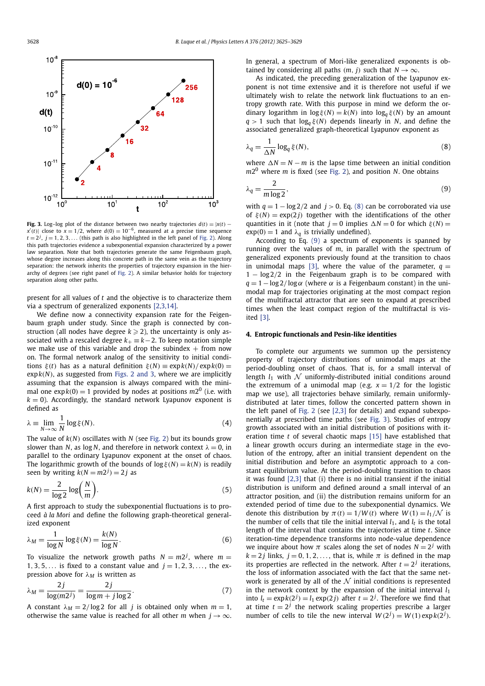

**Fig. 3.** Log–log plot of the distance between two nearby trajectories  $d(t) = |x(t)$  $x'(t)$ | close to  $x = 1/2$ , where  $d(0) = 10^{-6}$ , measured at a precise time sequence  $t = 2^j$ ,  $j = 1, 2, 3, \ldots$  (this path is also highlighted in the left panel of Fig. 2). Along this path trajectories evidence a subexponential expansion characterized by a power law separation. Note that both trajectories generate the same Feigenbaum graph, whose degree increases along this concrete path in the same vein as the trajectory separation: the network inherits the properties of trajectory expansion in the hierarchy of degrees (see right panel of Fig. 2). A similar behavior holds for trajectory separation along other paths.

present for all values of *t* and the objective is to characterize them via a spectrum of generalized exponents [2,3,14].

We define now a connectivity expansion rate for the Feigenbaum graph under study. Since the graph is connected by construction (all nodes have degree  $k \geq 2$ ), the uncertainty is only associated with a rescaled degree  $k_{+} \equiv k - 2$ . To keep notation simple we make use of this variable and drop the subindex  $+$  from now on. The formal network analog of the sensitivity to initial conditions  $\xi(t)$  has as a natural definition  $\xi(N) \equiv \exp(k(N)/\exp(k(0))$ exp*k*(*N*), as suggested from Figs. 2 and 3, where we are implicitly assuming that the expansion is always compared with the minimal one  $exp k(0) = 1$  provided by nodes at positions  $m2^0$  (i.e. with  $k = 0$ ). Accordingly, the standard network Lyapunov exponent is defined as

$$
\lambda = \lim_{N \to \infty} \frac{1}{N} \log \xi(N). \tag{4}
$$

The value of *k*(*N*) oscillates with *N* (see Fig. 2) but its bounds grow slower than *N*, as  $log N$ , and therefore in network context  $\lambda = 0$ , in parallel to the ordinary Lyapunov exponent at the onset of chaos. The logarithmic growth of the bounds of  $\log \xi(N) = k(N)$  is readily seen by writing  $k(N = m2<sup>j</sup>) = 2j$  as

$$
k(N) = \frac{2}{\log 2} \log \left(\frac{N}{m}\right).
$$
 (5)

A first approach to study the subexponential fluctuations is to proceed *à la Mori* and define the following graph-theoretical generalized exponent

$$
\lambda_M = \frac{1}{\log N} \log \xi(N) = \frac{k(N)}{\log N}.
$$
 (6)

To visualize the network growth paths  $N = m2<sup>j</sup>$ , where  $m =$ 1, 3, 5, ... is fixed to a constant value and  $j = 1, 2, 3, \ldots$ , the expression above for λ*<sup>M</sup>* is written as

$$
\lambda_M = \frac{2j}{\log(m2^j)} = \frac{2j}{\log m + j \log 2}.\tag{7}
$$

A constant  $\lambda_M = 2/\log 2$  for all *j* is obtained only when  $m = 1$ , otherwise the same value is reached for all other *m* when  $j \rightarrow \infty$ . In general, a spectrum of Mori-like generalized exponents is obtained by considering all paths  $(m, j)$  such that  $N \rightarrow \infty$ .

As indicated, the preceding generalization of the Lyapunov exponent is not time extensive and it is therefore not useful if we ultimately wish to relate the network link fluctuations to an entropy growth rate. With this purpose in mind we deform the ordinary logarithm in  $\log \xi(N) = k(N)$  into  $\log_a \xi(N)$  by an amount  $q > 1$  such that  $log_q \xi(N)$  depends linearly in *N*, and define the associated generalized graph-theoretical Lyapunov exponent as

$$
\lambda_q = \frac{1}{\Delta N} \log_q \xi(N),\tag{8}
$$

where  $\Delta N = N - m$  is the lapse time between an initial condition *m*20 where *m* is fixed (see Fig. 2), and position *N*. One obtains

$$
\lambda_q = \frac{2}{m \log 2},\tag{9}
$$

with  $q = 1 - \log 2/2$  and  $j > 0$ . Eq. (8) can be corroborated via use of  $\xi(N) = \exp(2i)$  together with the identifications of the other quantities in it (note that  $j = 0$  implies  $\Delta N = 0$  for which  $\xi(N) =$  $exp(0) = 1$  and  $\lambda_q$  is trivially undefined).

According to Eq. (9) a spectrum of exponents is spanned by running over the values of *m*, in parallel with the spectrum of generalized exponents previously found at the transition to chaos in unimodal maps [3], where the value of the parameter,  $q =$ 1 − log 2/2 in the Feigenbaum graph is to be compared with  $q = 1 - \log 2/\log \alpha$  (where  $\alpha$  is a Feigenbaum constant) in the unimodal map for trajectories originating at the most compact region of the multifractal attractor that are seen to expand at prescribed times when the least compact region of the multifractal is visited [3].

# **4. Entropic functionals and Pesin-like identities**

To complete our arguments we summon up the persistency property of trajectory distributions of unimodal maps at the period-doubling onset of chaos. That is, for a small interval of length  $l_1$  with  $\mathcal N$  uniformly-distributed initial conditions around the extremum of a unimodal map (e.g.  $x = 1/2$  for the logistic map we use), all trajectories behave similarly, remain uniformlydistributed at later times, follow the concerted pattern shown in the left panel of Fig. 2 (see [2,3] for details) and expand subexponentially at prescribed time paths (see Fig. 3). Studies of entropy growth associated with an initial distribution of positions with iteration time *t* of several chaotic maps [15] have established that a linear growth occurs during an intermediate stage in the evolution of the entropy, after an initial transient dependent on the initial distribution and before an asymptotic approach to a constant equilibrium value. At the period-doubling transition to chaos it was found [2,3] that (i) there is no initial transient if the initial distribution is uniform and defined around a small interval of an attractor position, and (ii) the distribution remains uniform for an extended period of time due to the subexponential dynamics. We denote this distribution by  $\pi(t) = 1/W(t)$  where  $W(1) = l_1/N$  is the number of cells that tile the initial interval  $l_1$ , and  $l_t$  is the total length of the interval that contains the trajectories at time *t*. Since iteration-time dependence transforms into node-value dependence we inquire about how  $\pi$  scales along the set of nodes  $N = 2^{j}$  with  $k = 2j$  links,  $j = 0, 1, 2, \ldots$ , that is, while  $\pi$  is defined in the map its properties are reflected in the network. After  $t = 2<sup>j</sup>$  iterations, the loss of information associated with the fact that the same network is generated by all of the  $\mathcal N$  initial conditions is represented in the network context by the expansion of the initial interval  $l_1$ into  $l_t = \exp(k(2^j)) = l_1 \exp(2j)$  after  $t = 2^j$ . Therefore we find that at time  $t = 2^j$  the network scaling properties prescribe a larger number of cells to tile the new interval  $W(2^j) = W(1) \exp(k(2^j))$ .